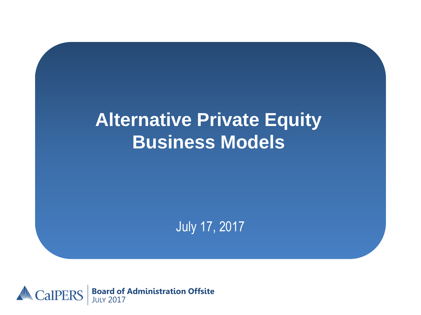### **Alternative Private Equity Business Models**

July 17, 2017

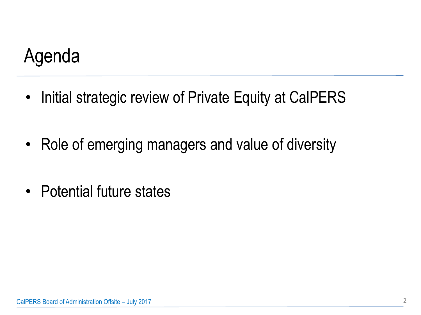## Agenda

- Initial strategic review of Private Equity at CalPERS
- Role of emerging managers and value of diversity
- Potential future states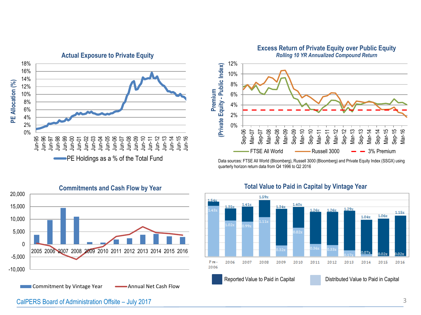

PE Holdings as a % of the Total Fund



Commitment by Vintage Year **Annual Net Cash Flow** 



**Excess Return of Private Equity over Public Equity**

Data sources: FTSE All World (Bloomberg), Russell 3000 (Bloomberg) and Private Equity Index (SSGX) using quarterly horizon return data from Q4 1996 to Q2 2016



#### **Total Value to Paid in Capital by Vintage Year**

CalPERS Board of Administration Offsite – July 2017 3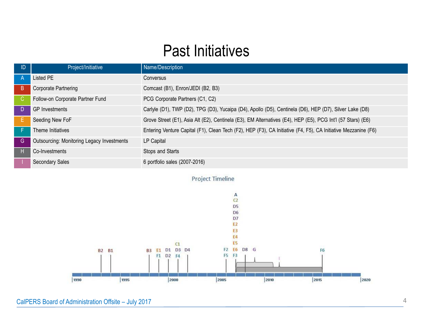#### Past Initiatives

| ID             | Project/Initiative                         | Name/Description                                                                                               |
|----------------|--------------------------------------------|----------------------------------------------------------------------------------------------------------------|
| $\overline{A}$ | <b>Listed PE</b>                           | Conversus                                                                                                      |
| B              | Corporate Partnering                       | Comcast (B1), Enron/JEDI (B2, B3)                                                                              |
| C.             | Follow-on Corporate Partner Fund           | PCG Corporate Partners (C1, C2)                                                                                |
| D              | <b>GP</b> Investments                      | Carlyle (D1), TWP (D2), TPG (D3), Yucaipa (D4), Apollo (D5), Centinela (D6), HEP (D7), Silver Lake (D8)        |
| Е              | Seeding New FoF                            | Grove Street (E1), Asia Alt (E2), Centinela (E3), EM Alternatives (E4), HEP (E5), PCG Int'l (57 Stars) (E6)    |
|                | Theme Initiatives                          | Entering Venture Capital (F1), Clean Tech (F2), HEP (F3), CA Initiative (F4, F5), CA Initiative Mezzanine (F6) |
| G              | Outsourcing: Monitoring Legacy Investments | LP Capital                                                                                                     |
| н              | Co-Investments                             | Stops and Starts                                                                                               |
|                | <b>Secondary Sales</b>                     | 6 portfolio sales (2007-2016)                                                                                  |

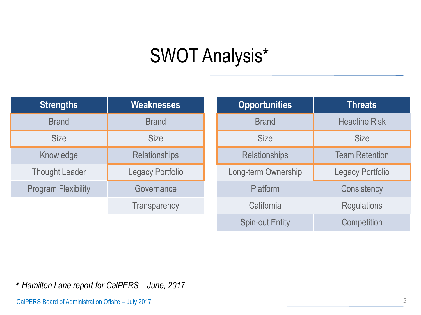# SWOT Analysis\*

| <b>Strengths</b>           | Weaknesses              |        |
|----------------------------|-------------------------|--------|
| <b>Brand</b>               | <b>Brand</b>            |        |
| <b>Size</b>                | <b>Size</b>             |        |
| Knowledge                  | <b>Relationships</b>    |        |
| <b>Thought Leader</b>      | <b>Legacy Portfolio</b> | $\cap$ |
| <b>Program Flexibility</b> | Governance              |        |
|                            | <b>Transparency</b>     |        |

| <b>Opportunities</b>   | <b>Threats</b>          |
|------------------------|-------------------------|
| <b>Brand</b>           | <b>Headline Risk</b>    |
| <b>Size</b>            | <b>Size</b>             |
| <b>Relationships</b>   | <b>Team Retention</b>   |
| Long-term Ownership    | <b>Legacy Portfolio</b> |
| Platform               | Consistency             |
| California             | <b>Regulations</b>      |
| <b>Spin-out Entity</b> | Competition             |

*\* Hamilton Lane report for CalPERS – June, 2017*

CalPERS Board of Administration Offsite – July 2017 5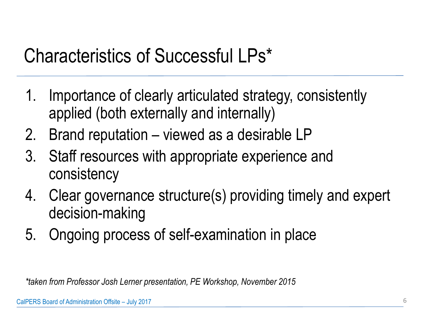# Characteristics of Successful LPs\*

- 1. Importance of clearly articulated strategy, consistently applied (both externally and internally)
- 2. Brand reputation viewed as a desirable LP
- 3. Staff resources with appropriate experience and consistency
- 4. Clear governance structure(s) providing timely and expert decision-making
- 5. Ongoing process of self-examination in place

*\*taken from Professor Josh Lerner presentation, PE Workshop, November 2015*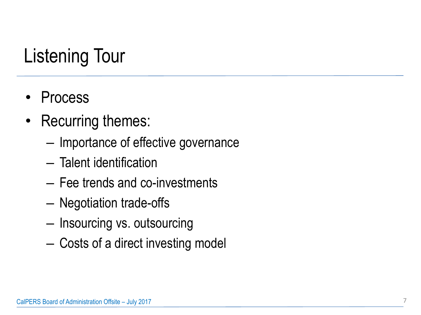# Listening Tour

- Process
- Recurring themes:
	- Importance of effective governance
	- Talent identification
	- Fee trends and co-investments
	- Negotiation trade-offs
	- Insourcing vs. outsourcing
	- Costs of a direct investing model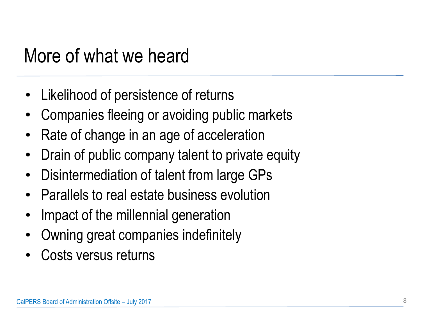## More of what we heard

- Likelihood of persistence of returns
- Companies fleeing or avoiding public markets
- Rate of change in an age of acceleration
- Drain of public company talent to private equity
- Disintermediation of talent from large GPs
- Parallels to real estate business evolution
- Impact of the millennial generation
- Owning great companies indefinitely
- Costs versus returns